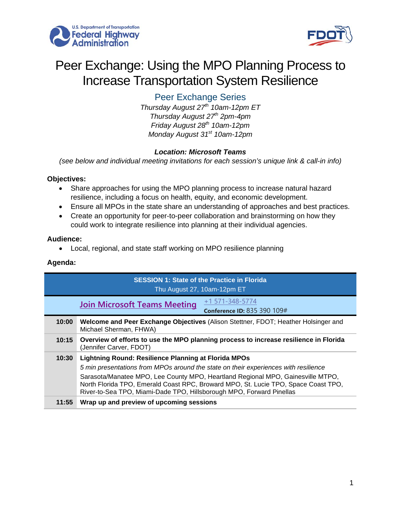



# Peer Exchange: Using the MPO Planning Process to Increase Transportation System Resilience

Peer Exchange Series

*Thursday August 27th 10am-12pm ET Thursday August 27th 2pm-4pm Friday August 28th 10am-12pm Monday August 31st 10am-12pm*

## *Location: Microsoft Teams*

*(see below and individual meeting invitations for each session's unique link & call-in info)*

#### **Objectives:**

- Share approaches for using the MPO planning process to increase natural hazard resilience, including a focus on health, equity, and economic development.
- Ensure all MPOs in the state share an understanding of approaches and best practices.
- Create an opportunity for peer-to-peer collaboration and brainstorming on how they could work to integrate resilience into planning at their individual agencies.

#### **Audience:**

• Local, regional, and state staff working on MPO resilience planning

### **Agenda:**

| <b>SESSION 1: State of the Practice in Florida</b><br>Thu August 27, 10am-12pm ET |                                                                                                                                                                                                                                                                                                                                                                                                     |  |
|-----------------------------------------------------------------------------------|-----------------------------------------------------------------------------------------------------------------------------------------------------------------------------------------------------------------------------------------------------------------------------------------------------------------------------------------------------------------------------------------------------|--|
|                                                                                   | +1 571-348-5774<br><b>Join Microsoft Teams Meeting</b><br><b>Conference ID: 835 390 109#</b>                                                                                                                                                                                                                                                                                                        |  |
| 10:00                                                                             | Welcome and Peer Exchange Objectives (Alison Stettner, FDOT; Heather Holsinger and<br>Michael Sherman, FHWA)                                                                                                                                                                                                                                                                                        |  |
| 10:15                                                                             | Overview of efforts to use the MPO planning process to increase resilience in Florida<br>(Jennifer Carver, FDOT)                                                                                                                                                                                                                                                                                    |  |
| 10:30                                                                             | <b>Lightning Round: Resilience Planning at Florida MPOs</b><br>5 min presentations from MPOs around the state on their experiences with resilience<br>Sarasota/Manatee MPO, Lee County MPO, Heartland Regional MPO, Gainesville MTPO,<br>North Florida TPO, Emerald Coast RPC, Broward MPO, St. Lucie TPO, Space Coast TPO,<br>River-to-Sea TPO, Miami-Dade TPO, Hillsborough MPO, Forward Pinellas |  |
| 11:55                                                                             | Wrap up and preview of upcoming sessions                                                                                                                                                                                                                                                                                                                                                            |  |